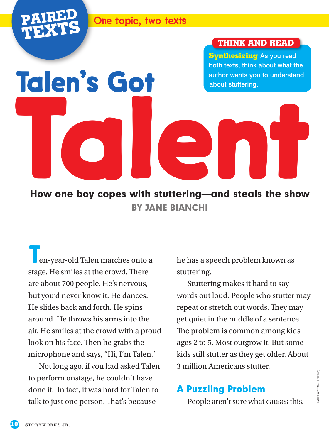

**Talen's Got**

#### **Pair on the topic, two texts**

#### **THINK AND READ**

**Synthesizing** As you read both texts, think about what the author wants you to understand about stuttering.

How one boy copes with stuttering—and steals the show BY JANE BIANCHI **[Talent](https://bit.ly/2VxiYSt) Street (1994)**<br>How one boy copes with stuttering—and steals the show

**T**en-year-old Talen marches onto a stage. He smiles at the crowd. There are about 700 people. He's nervous, but you'd never know it. He dances. He slides back and forth. He spins around. He throws his arms into the air. He smiles at the crowd with a proud look on his face. Then he grabs the microphone and says, "Hi, I'm Talen."

Not long ago, if you had asked Talen to perform onstage, he couldn't have done it. In fact, it was hard for Talen to talk to just one person. That's because

he has a speech problem known as stuttering.

Stuttering makes it hard to say words out loud. People who stutter may repeat or stretch out words. They may get quiet in the middle of a sentence. The problem is common among kids ages 2 to 5. Most outgrow it. But some kids still stutter as they get older. About 3 million Americans stutter.

# A Puzzling Problem

People aren't sure what causes this.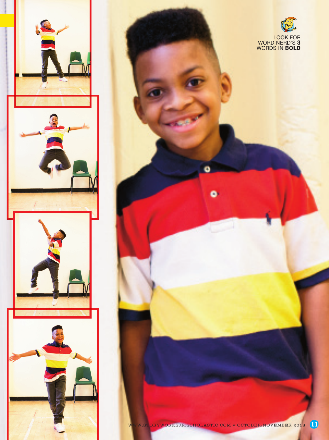



o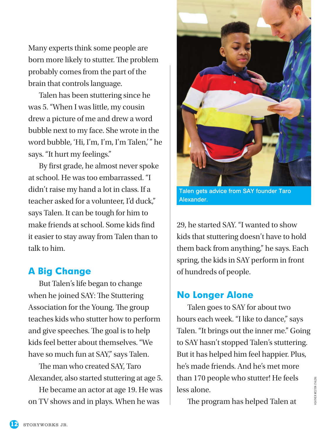Many experts think some people are born more likely to stutter. The problem probably comes from the part of the brain that controls language.

Talen has been stuttering since he was 5. "When I was little, my cousin drew a picture of me and drew a word bubble next to my face. She wrote in the word bubble, 'Hi, I'm, I'm, I'm Talen,'" he says. "It hurt my feelings."

By first grade, he almost never spoke at school. He was too embarrassed. "I didn't raise my hand a lot in class. If a teacher asked for a volunteer, I'd duck," says Talen. It can be tough for him to make friends at school. Some kids find it easier to stay away from Talen than to talk to him.

## A Big Change

But Talen's life began to change when he joined SAY: The Stuttering Association for the Young. The group teaches kids who stutter how to perform and give speeches. The goal is to help kids feel better about themselves. "We have so much fun at SAY," says Talen.

The man who created SAY, Taro Alexander, also started stuttering at age 5.

He became an actor at age 19. He was on TV shows and in plays. When he was



Talen gets advice from SAY founder Taro Alexander.

29, he started SAY. "I wanted to show kids that stuttering doesn't have to hold them back from anything," he says. Each spring, the kids in SAY perform in front of hundreds of people.

## No Longer Alone

Talen goes to SAY for about two hours each week. "I like to dance," says Talen. "It brings out the inner me." Going to SAY hasn't stopped Talen's stuttering. But it has helped him feel happier. Plus, he's made friends. And he's met more than 170 people who stutter! He feels less alone.

The program has helped Talen at